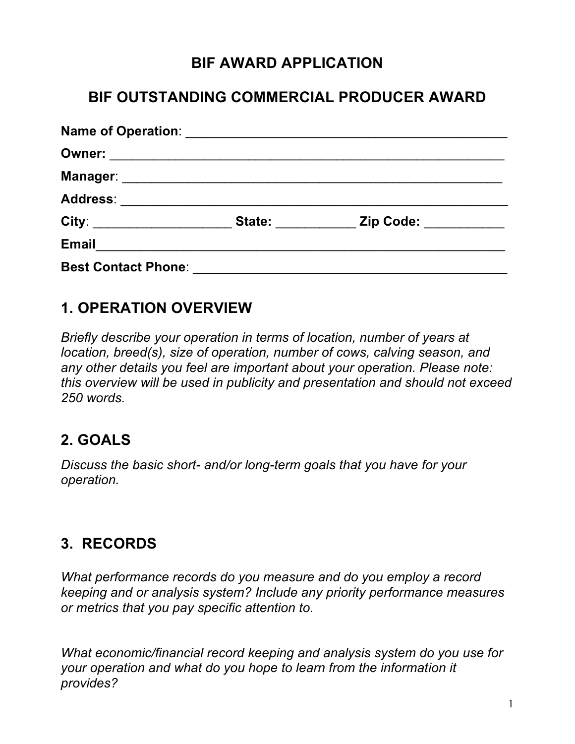## **BIF AWARD APPLICATION**

#### **BIF OUTSTANDING COMMERCIAL PRODUCER AWARD**

|                            | State: when the state of the state of the state of the state of the state of the state of the state of the state of the state of the state of the state of the state of the state of the state of the state of the state of th | Zip Code: <u>_________</u> |
|----------------------------|--------------------------------------------------------------------------------------------------------------------------------------------------------------------------------------------------------------------------------|----------------------------|
| <b>Email</b>               |                                                                                                                                                                                                                                |                            |
| <b>Best Contact Phone:</b> |                                                                                                                                                                                                                                |                            |

#### **1. OPERATION OVERVIEW**

*Briefly describe your operation in terms of location, number of years at location, breed(s), size of operation, number of cows, calving season, and any other details you feel are important about your operation. Please note: this overview will be used in publicity and presentation and should not exceed 250 words.*

# **2. GOALS**

*Discuss the basic short- and/or long-term goals that you have for your operation.*

# **3. RECORDS**

*What performance records do you measure and do you employ a record keeping and or analysis system? Include any priority performance measures or metrics that you pay specific attention to.* 

*What economic/financial record keeping and analysis system do you use for your operation and what do you hope to learn from the information it provides?*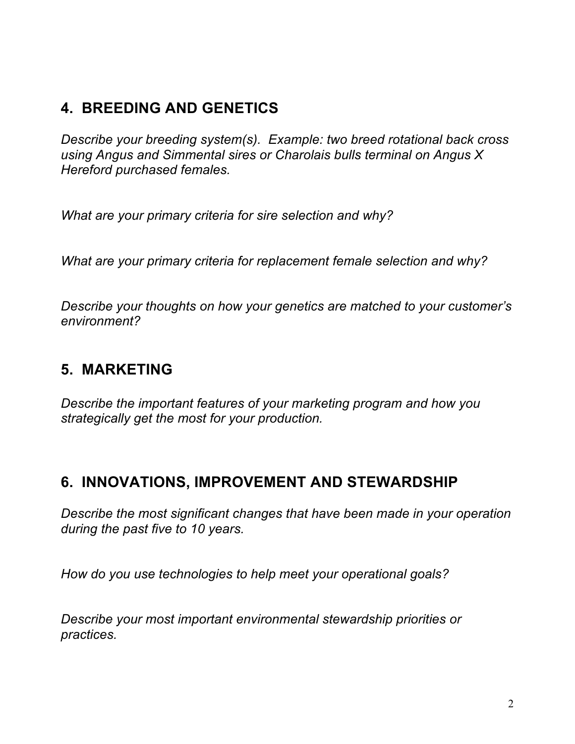## **4. BREEDING AND GENETICS**

*Describe your breeding system(s). Example: two breed rotational back cross using Angus and Simmental sires or Charolais bulls terminal on Angus X Hereford purchased females.*

*What are your primary criteria for sire selection and why?* 

*What are your primary criteria for replacement female selection and why?*

*Describe your thoughts on how your genetics are matched to your customer's environment?*

# **5. MARKETING**

*Describe the important features of your marketing program and how you strategically get the most for your production.*

#### **6. INNOVATIONS, IMPROVEMENT AND STEWARDSHIP**

*Describe the most significant changes that have been made in your operation during the past five to 10 years.*

*How do you use technologies to help meet your operational goals?*

*Describe your most important environmental stewardship priorities or practices.*